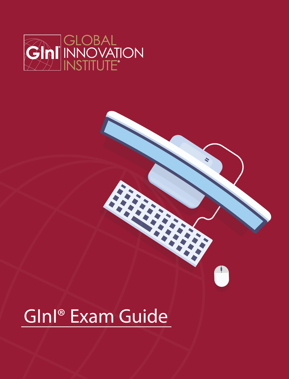

# GInI® Exam Guide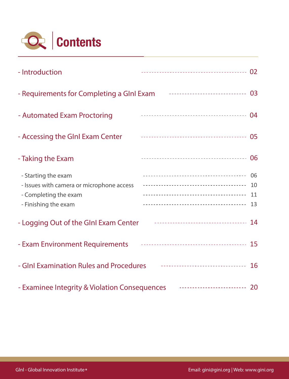

| - Introduction                                                                        |                                        |  |
|---------------------------------------------------------------------------------------|----------------------------------------|--|
| - Requirements for Completing a Glnl Exam <b>Face Strategy Contract Completing</b> 03 |                                        |  |
| - Automated Exam Proctoring                                                           |                                        |  |
| - Accessing the GInI Exam Center                                                      |                                        |  |
| - Taking the Exam                                                                     |                                        |  |
| - Starting the exam                                                                   |                                        |  |
| - Issues with camera or microphone access                                             |                                        |  |
| - Completing the exam                                                                 |                                        |  |
| - Finishing the exam                                                                  |                                        |  |
| - Logging Out of the GInI Exam Center                                                 |                                        |  |
| - Exam Environment Requirements                                                       |                                        |  |
| - GInI Examination Rules and Procedures                                               | ----------------------------------- 16 |  |
|                                                                                       |                                        |  |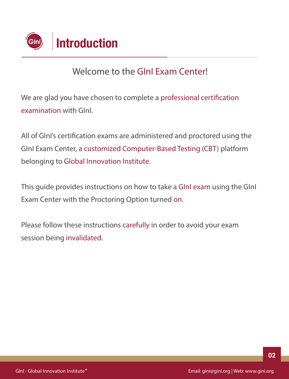

### Welcome to the GInI Exam Center!

We are glad you have chosen to complete a professional certification examination with GInI.

All of GInI's certification exams are administered and proctored using the GInI Exam Center, a customized Computer-Based Testing (CBT) platform belonging to Global Innovation Institute.

This guide provides instructions on how to take a GInI exam using the GInI Exam Center with the Proctoring Option turned on.

Please follow these instructions carefully in order to avoid your exam session being invalidated.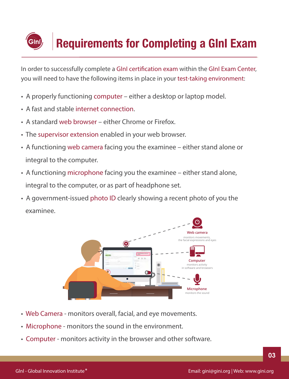

In order to successfully complete a GInI certification exam within the GInI Exam Center, you will need to have the following items in place in your test-taking environment:

- A properly functioning computer either a desktop or laptop model.
- A fast and stable internet connection.
- A standard web browser either Chrome or Firefox.
- The supervisor extension enabled in your web browser.
- A functioning web camera facing you the examinee either stand alone or integral to the computer.
- A functioning microphone facing you the examinee either stand alone, integral to the computer, or as part of headphone set.
- A government-issued photo ID clearly showing a recent photo of you the examinee.



- Web Camera monitors overall, facial, and eye movements.
- Microphone monitors the sound in the environment.
- Computer monitors activity in the browser and other software.

**03**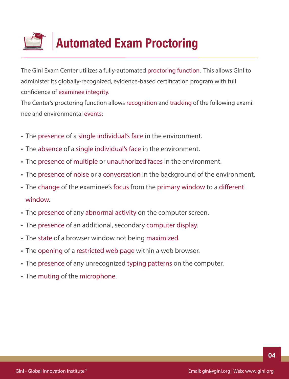

## **Automated Exam Proctoring**

The GInI Exam Center utilizes a fully-automated proctoring function. This allows GInI to administer its globally-recognized, evidence-based certification program with full confidence of examinee integrity.

The Center's proctoring function allows recognition and tracking of the following examinee and environmental events:

- The presence of a single individual's face in the environment.
- The absence of a single individual's face in the environment.
- The presence of multiple or unauthorized faces in the environment.
- The presence of noise or a conversation in the background of the environment.
- The change of the examinee's focus from the primary window to a different window.
- The presence of any abnormal activity on the computer screen.
- The presence of an additional, secondary computer display.
- The state of a browser window not being maximized.
- The opening of a restricted web page within a web browser.
- The presence of any unrecognized typing patterns on the computer.
- The muting of the microphone.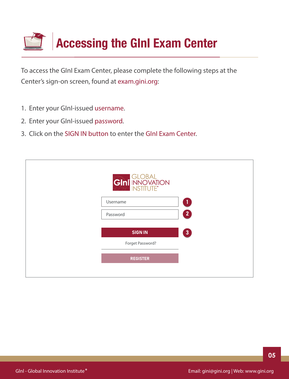

To access the GInI Exam Center, please complete the following steps at the Center's sign-on screen, found at exam.gini.org:

- 1. Enter your GInI-issued username.
- 2. Enter your GInI-issued password.
- 3. Click on the SIGN IN button to enter the GInI Exam Center.

| <b>GINI HANDAL</b><br>SINI INNOVATION |                |
|---------------------------------------|----------------|
| Username                              | $\boxed{1}$    |
| Password                              | $\boxed{2}$    |
| <b>SIGN IN</b>                        | 3 <sup>2</sup> |
| Forget Password?                      |                |
| <b>REGISTER</b>                       |                |
|                                       |                |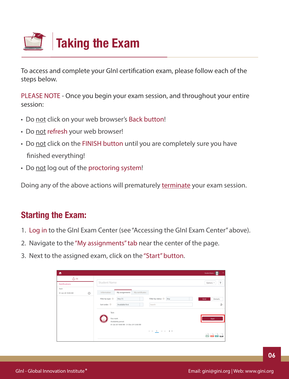

To access and complete your GInI certification exam, please follow each of the steps below.

PLEASE NOTE - Once you begin your exam session, and throughout your entire session:

- Do not click on your web browser's Back button!
- Do not refresh your web browser!
- Do not click on the FINISH button until you are completely sure you have finished everything!
- Do not log out of the proctoring system!

Doing any of the above actions will prematurely terminate your exam session.

### **Starting the Exam:**

- 1. Log in to the GInI Exam Center (see "Accessing the GInI Exam Center" above).
- 2. Navigate to the "My assignments" tab near the center of the page.
- 3. Next to the assigned exam, click on the "Start" button.

| ٠                                       |                                                                  | Student Name (<br>٠         |
|-----------------------------------------|------------------------------------------------------------------|-----------------------------|
| $\bigcirc$ (1)                          |                                                                  |                             |
| <b>Notifications</b>                    | Student Name                                                     | $\ddot{\cdot}$<br>Options * |
| Start:<br>$\circ$<br>01-Jan-20 10:00 AM | Information<br>My assignments<br>My certificates                 |                             |
|                                         | Filter by status: ①<br>Filter by type: $\odot$<br>Any (1)<br>Any | Grid<br>Details             |
|                                         | Sort order: 1<br>Available first<br>Search                       | Ö                           |
|                                         | Test                                                             |                             |
|                                         | Pass mark:<br>Availability period:                               | Start                       |
|                                         | 01-Jan-20 10:00 AM - 31-Dec-29 12:00 AM                          |                             |
|                                         | $14.44 - 1$ . 10 14 $-4.4$                                       | <b>DISTRIBUTE</b>           |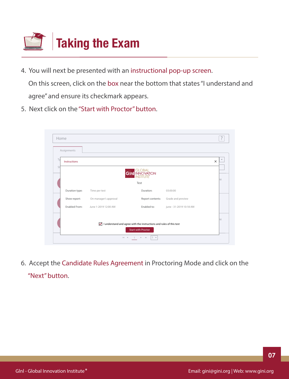

- 4. You will next be presented with an instructional pop-up screen. On this screen, click on the box near the bottom that states "I understand and agree" and ensure its checkmark appears.
- 5. Next click on the "Start with Proctor" button.



6. Accept the Candidate Rules Agreement in Proctoring Mode and click on the "Next" button.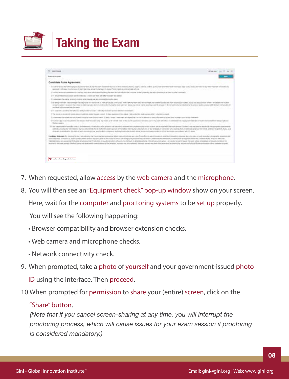

| sections.                                                                                                                                                                                                                                                                                                                                                                                                                                                                                                                                                                                                                                                                                                                                                                                                                                                                                                                            | A handsom I don't the                                |
|--------------------------------------------------------------------------------------------------------------------------------------------------------------------------------------------------------------------------------------------------------------------------------------------------------------------------------------------------------------------------------------------------------------------------------------------------------------------------------------------------------------------------------------------------------------------------------------------------------------------------------------------------------------------------------------------------------------------------------------------------------------------------------------------------------------------------------------------------------------------------------------------------------------------------------------|------------------------------------------------------|
| Board of the avent                                                                                                                                                                                                                                                                                                                                                                                                                                                                                                                                                                                                                                                                                                                                                                                                                                                                                                                   |                                                      |
| Candidate Rules Agreement                                                                                                                                                                                                                                                                                                                                                                                                                                                                                                                                                                                                                                                                                                                                                                                                                                                                                                            |                                                      |
| It had now was the bringing type of persons between the district best today as it that assess a paper, were as able, public between the teacher manners from yours teach are there were the teacher of<br>applied in this pay to show and of much but one in that the least to close a Poster many time end are adviced.                                                                                                                                                                                                                                                                                                                                                                                                                                                                                                                                                                                                             | the Conception of a deadly funds of page of concentr |
| 2 Track out a count also established as copyright and the collection a wide hange be used abilitable that colours being a powerfully the mark countries of he doesn't be able to receively                                                                                                                                                                                                                                                                                                                                                                                                                                                                                                                                                                                                                                                                                                                                           |                                                      |
| 2. If I lan permitted to put copie and the detectors, I understand thank only offer the costs from control.                                                                                                                                                                                                                                                                                                                                                                                                                                                                                                                                                                                                                                                                                                                                                                                                                          |                                                      |
| It is ensured the same on-thic artistics and interest pat are entitled by trailers share.                                                                                                                                                                                                                                                                                                                                                                                                                                                                                                                                                                                                                                                                                                                                                                                                                                            |                                                      |
| 3. By warring this analysis 2 and in receipt Ford (For a Ford Constitution) and a subject about a political political project and the Constitution of a material and subject to their material of the first field of the first<br>Airpy Parages 1 accessor that Nate for Administration of the European dealers Airpy Ale dealers and the analysis and other accessor and the analysis of the international constitution of the last of analysis. The analysis o<br>top 24kod /ard to go mosaic is the first coasts.                                                                                                                                                                                                                                                                                                                                                                                                                 |                                                      |
| 6. If I suppose a published but after the artists for land for each 1 selection for example increased from the change in a completely                                                                                                                                                                                                                                                                                                                                                                                                                                                                                                                                                                                                                                                                                                                                                                                                |                                                      |
| 2. The positive entrangeled contractorer business contracts wanted for base qualities of this come in a control to make operation and to buyer and                                                                                                                                                                                                                                                                                                                                                                                                                                                                                                                                                                                                                                                                                                                                                                                   |                                                      |
| 3. Introducement for training and any other company that are also for the process of the first address to a percent and the property of the about the determining of the added of a special or the process of the second for t                                                                                                                                                                                                                                                                                                                                                                                                                                                                                                                                                                                                                                                                                                       |                                                      |
| O Tech sales an approximately are added to be a late for construints and make the sales of the late of the company and address part in the country and other construints of the company of the same of the construints of the<br>This disc is causing.                                                                                                                                                                                                                                                                                                                                                                                                                                                                                                                                                                                                                                                                               |                                                      |
| 12. ALC COMMENTATION AND RESIDENTED TO A RESIDENTED TO THE RESIDENCE OF A REAL PROPERTY CONTACT COMMENTATION OF A RECORD AND RELEASED FOR DRIVING SERVICE CONTACT OF THE ADDRESS OF THE ADDRESS OF A REPORT OF A REPORT OF A R<br>welling young but not collect in you assumpted your hydry. He went worked in this today testing business and injuried to the history to your consense with interest to an interful to an excellent or to an interface of your<br>single is anothized to each or age recently three year to day in market in public between the public or the factor for the country and subset in action or was able to a similar to a second con-                                                                                                                                                                                                                                                                 |                                                      |
| Toronto Balancare (b) channel for that I do maintains that I had and and accept them day attentions and a also are provided its including the from the form offering the content manual want automated into one and an analysi<br>Alain maintend in Project by Joseph dealer admits of takyo days are a plan of the couple or order) con-acres and previously paintings projections consent the designation consent agains and also project and a state of the C<br>CARRISH RIGHT ANNOUNCED AT THE RIGHT OF THE RIGHTS OF ALL ANDERS AT ALL AND A COMPANY OF A SHARK CARRIS CARRIS AND A RIGHT AND A SHARK CARRIS WITH A STATE AND THE SHARK CARRIS OF THE SHARK AND A STATE AND ON THE STATE OF T<br>Internal is to least upone (Distinct) pergrast party was accelerate to the internal of the officiency my based and internal data party necessarily that providing the other permission and was therefolio per production of th |                                                      |
|                                                                                                                                                                                                                                                                                                                                                                                                                                                                                                                                                                                                                                                                                                                                                                                                                                                                                                                                      |                                                      |
|                                                                                                                                                                                                                                                                                                                                                                                                                                                                                                                                                                                                                                                                                                                                                                                                                                                                                                                                      |                                                      |
| Tread the rules and agree to the terms                                                                                                                                                                                                                                                                                                                                                                                                                                                                                                                                                                                                                                                                                                                                                                                                                                                                                               |                                                      |

- 7. When requested, allow access by the web camera and the microphone.
- 8. You will then see an "Equipment check" pop-up window show on your screen. Here, wait for the computer and proctoring systems to be set up properly.

You will see the following happening:

- Browser compatibility and browser extension checks.
- Web camera and microphone checks.
- Network connectivity check.
- 9. When prompted, take a photo of yourself and your government-issued photo ID using the interface. Then proceed.
- 10.When prompted for permission to share your (entire) screen, click on the

#### "Share" button.

 *(Note that if you cancel screen-sharing at any time, you will interrupt the proctoring process, which will cause issues for your exam session if proctoring is considered mandatory.)*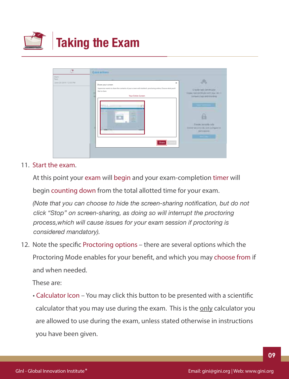

| $\mathbb{Q}$<br>Gast schen.                                                                                                                                                                                                                                                 |                                                                                                                                                                                            |
|-----------------------------------------------------------------------------------------------------------------------------------------------------------------------------------------------------------------------------------------------------------------------------|--------------------------------------------------------------------------------------------------------------------------------------------------------------------------------------------|
| Start:<br>Test:<br>June 20-2019 12:35 PM<br>$\times$<br>Share your screen<br>Supervisor wants to share the contents of your screen with skoltech, proctoring online, Choose what you'd<br>like to share<br><b>Your Entire Screen</b><br>m<br>-<br>æ<br>÷<br>Share<br>Cancel | <b>Civile tel centralis</b><br>I Wanted Hold born Might with your children<br>International Seasons and<br>Date issues the<br>Detect security with level configuration<br>THEFT IS NOT THE |

#### 11. Start the exam.

At this point your exam will begin and your exam-completion timer will

begin counting down from the total allotted time for your exam.

 *(Note that you can choose to hide the screen-sharing notification, but do not click "Stop" on screen-sharing, as doing so will interrupt the proctoring process,which will cause issues for your exam session if proctoring is considered mandatory).*

12. Note the specific Proctoring options – there are several options which the Proctoring Mode enables for your benefit, and which you may choose from if and when needed.

These are:

• Calculator Icon – You may click this button to be presented with a scientific calculator that you may use during the exam. This is the only calculator you are allowed to use during the exam, unless stated otherwise in instructions you have been given.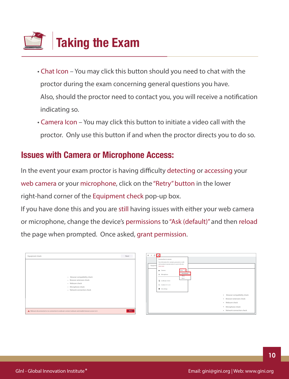

- Chat Icon You may click this button should you need to chat with the proctor during the exam concerning general questions you have. Also, should the proctor need to contact you, you will receive a notification indicating so.
- Camera Icon You may click this button to initiate a video call with the proctor. Only use this button if and when the proctor directs you to do so.

### **Issues with Camera or Microphone Access:**

In the event your exam proctor is having difficulty detecting or accessing your web camera or your microphone, click on the "Retry" button in the lower right-hand corner of the Equipment check pop-up box.

If you have done this and you are still having issues with either your web camera or microphone, change the device's permissions to "Ask (default)" and then reload the page when prompted. Once asked, grant permission.

| Equipment check                                                                                                                  | Next  |
|----------------------------------------------------------------------------------------------------------------------------------|-------|
| + Browser compatibility check<br>· Browser extension check<br>· Webcam check<br>* Microphone check<br>· Network connection check |       |
| Webcam disconnected or no connection to webcam connect webcam and enable browser access to it.                                   | Retry |

|         | Competing is served.<br>Your information (for example, passwords or credit |                                            |
|---------|----------------------------------------------------------------------------|--------------------------------------------|
| Equipme | card numbers) is private when it is sent to this site.<br>Lases more       |                                            |
|         | Allow 1<br><b>B</b> Camera                                                 |                                            |
|         | Ark (default)<br># Microphone<br>Afour                                     |                                            |
|         | <b>Block</b><br>换<br>Certificate (Valid)                                   |                                            |
|         | $\binom{N}{2n}$ Cookies (6 in use)                                         |                                            |
|         | <b>Q</b> Stearings                                                         |                                            |
|         |                                                                            | Browser compatibility check<br>٠           |
|         |                                                                            | Browser extension check<br>٠.              |
|         |                                                                            | Webcam check<br>٠                          |
|         |                                                                            | Microphone check<br>٠                      |
|         |                                                                            | Network connection check<br>$\blacksquare$ |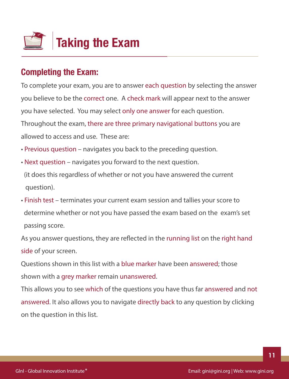

### **Completing the Exam:**

To complete your exam, you are to answer each question by selecting the answer you believe to be the correct one. A check mark will appear next to the answer you have selected. You may select only one answer for each question. Throughout the exam, there are three primary navigational buttons you are allowed to access and use. These are:

- Previous question navigates you back to the preceding question.
- Next question navigates you forward to the next question.

 (it does this regardless of whether or not you have answered the current question).

• Finish test – terminates your current exam session and tallies your score to determine whether or not you have passed the exam based on the exam's set passing score.

As you answer questions, they are reflected in the running list on the right hand side of your screen.

Questions shown in this list with a blue marker have been answered; those shown with a grey marker remain unanswered.

This allows you to see which of the questions you have thus far answered and not answered. It also allows you to navigate directly back to any question by clicking on the question in this list.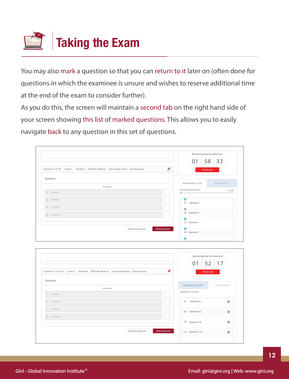

You may also mark a question so that you can return to it later on (often done for questions in which the examinee is unsure and wishes to reserve additional time at the end of the exam to consider further).

As you do this, the screen will maintain a second tab on the right hand side of your screen showing this list of marked questions. This allows you to easily navigate back to any question in this set of questions.

|            |          |                                                                                               |                      | Remaining time for entire test |                 |
|------------|----------|-----------------------------------------------------------------------------------------------|----------------------|--------------------------------|-----------------|
|            |          | Question: 6 of 120 points:1 Penalty:0 Difficulty: Medium Type: Single choice Question pool:   | ×                    | 58<br>01                       | 33              |
|            |          |                                                                                               |                      | <b>Finish test</b>             |                 |
| Question:  |          |                                                                                               |                      |                                |                 |
|            | Answers: |                                                                                               |                      | All questions (120)            | Review list (0) |
| 1. Answer. |          |                                                                                               |                      | Answered questions             | 4/120           |
| 2. Answer. |          |                                                                                               |                      | Question 1                     |                 |
| 3. Answer. |          |                                                                                               |                      | #1<br>Л                        |                 |
| 4. Answer. |          |                                                                                               |                      | #2 Question 1                  |                 |
|            |          |                                                                                               |                      | И<br>#3 Question 1             |                 |
|            |          | Previous question                                                                             | <b>Next question</b> |                                |                 |
|            |          |                                                                                               |                      | #4<br>Question 1               |                 |
|            |          |                                                                                               |                      | п                              |                 |
|            |          |                                                                                               |                      | Remaining time for entire test |                 |
|            |          |                                                                                               |                      | 52<br>01                       | 17              |
|            |          | Question: 115 of 120 points:1 Penalty:0 Difficulty: Medium Type: Single choice Question pool: | ⊀                    |                                |                 |
|            |          |                                                                                               |                      | <b>Finish test</b>             |                 |
|            |          |                                                                                               |                      |                                |                 |
| Question:  |          |                                                                                               |                      |                                |                 |
|            | Answers: |                                                                                               |                      | All questions (120)            | Review list (4) |
| 1. Answer. |          |                                                                                               |                      | Marked for review              |                 |
| 2. Answer. |          |                                                                                               |                      | 8. Question 8                  | ×               |
| 3. Answer. |          |                                                                                               |                      |                                |                 |
| 4. Answer. |          |                                                                                               |                      | 53. Question 53                | ×               |
|            |          |                                                                                               |                      | 78. Question 78                | $\times$        |
|            |          |                                                                                               |                      |                                |                 |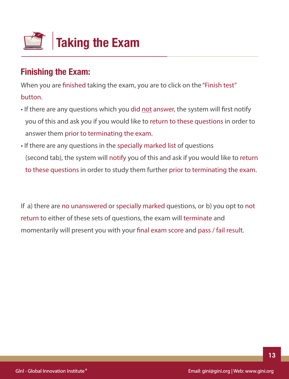

### **Finishing the Exam:**

When you are finished taking the exam, you are to click on the "Finish test" button.

- If there are any questions which you did not answer, the system will first notify you of this and ask you if you would like to return to these questions in order to answer them prior to terminating the exam.
- If there are any questions in the specially marked list of questions (second tab), the system will notify you of this and ask if you would like to return to these questions in order to study them further prior to terminating the exam.

If a) there are no unanswered or specially marked questions, or b) you opt to not return to either of these sets of questions, the exam will terminate and momentarily will present you with your final exam score and pass / fail result.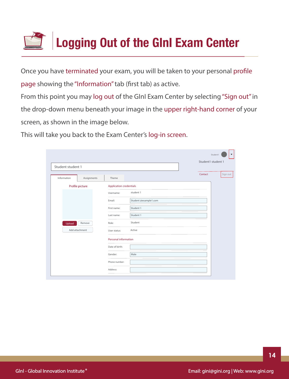# **Logging Out of the GInI Exam Center**

Once you have terminated your exam, you will be taken to your personal profile page showing the "Information" tab (first tab) as active.

From this point you may log out of the GInI Exam Center by selecting "Sign out" in the drop-down menu beneath your image in the upper right-hand corner of your screen, as shown in the image below.

This will take you back to the Exam Center's log-in screen.

|                   |                 |                                |                       |         | $\blacktriangledown$<br>Student1 |
|-------------------|-----------------|--------------------------------|-----------------------|---------|----------------------------------|
| Student student 1 |                 |                                |                       |         | Student1 student 1               |
| Information       | Assignments     | Theme                          |                       | Contact | Sign out                         |
|                   | Profile picture | <b>Application credentials</b> |                       |         |                                  |
|                   |                 | Username:                      | student 1             |         |                                  |
|                   |                 | Email:                         | Student @example1.com |         |                                  |
|                   |                 | First name:                    | Student 1             |         |                                  |
|                   |                 | Last name:                     | Student 1             |         |                                  |
| Upload            | Remove          | Role:                          | Student               |         |                                  |
|                   | Add attachment  | User status:                   | Active                |         |                                  |
|                   |                 | <b>Personal information</b>    |                       |         |                                  |
|                   |                 | Date of birth:                 |                       |         |                                  |
|                   |                 | Gender:                        | Male                  |         |                                  |
|                   |                 | Phone number:                  |                       |         |                                  |
|                   |                 | Address:                       |                       |         |                                  |
|                   |                 |                                |                       |         |                                  |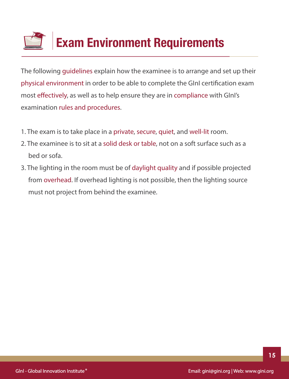

The following guidelines explain how the examinee is to arrange and set up their physical environment in order to be able to complete the GInI certication exam most effectively, as well as to help ensure they are in compliance with GlnI's examination rules and procedures.

- 1. The exam is to take place in a private, secure, quiet, and well-lit room.
- 2. The examinee is to sit at a solid desk or table, not on a soft surface such as a bed or sofa.
- 3. The lighting in the room must be of daylight quality and if possible projected from overhead. If overhead lighting is not possible, then the lighting source must not project from behind the examinee.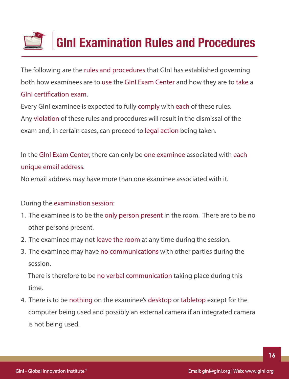

The following are the rules and procedures that GInI has established governing both how examinees are to use the GInI Exam Center and how they are to take a GInI certification exam.

Every GInI examinee is expected to fully comply with each of these rules. Any violation of these rules and procedures will result in the dismissal of the exam and, in certain cases, can proceed to legal action being taken.

In the GInI Exam Center, there can only be one examinee associated with each unique email address.

No email address may have more than one examinee associated with it.

#### During the examination session:

- 1. The examinee is to be the only person present in the room. There are to be no other persons present.
- 2. The examinee may not leave the room at any time during the session.
- 3. The examinee may have no communications with other parties during the session.

 There is therefore to be no verbal communication taking place during this time.

4. There is to be nothing on the examinee's desktop or tabletop except for the computer being used and possibly an external camera if an integrated camera is not being used.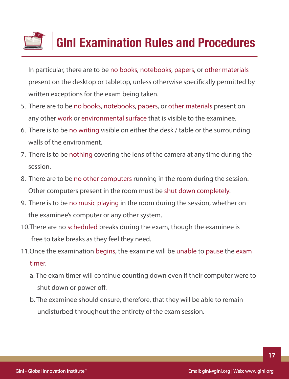

 In particular, there are to be no books, notebooks, papers, or other materials present on the desktop or tabletop, unless otherwise specifically permitted by written exceptions for the exam being taken.

- 5. There are to be no books, notebooks, papers, or other materials present on any other work or environmental surface that is visible to the examinee.
- 6. There is to be no writing visible on either the desk / table or the surrounding walls of the environment.
- 7. There is to be nothing covering the lens of the camera at any time during the session.
- 8. There are to be no other computers running in the room during the session. Other computers present in the room must be shut down completely.
- 9. There is to be no music playing in the room during the session, whether on the examinee's computer or any other system.
- 10.There are no scheduled breaks during the exam, though the examinee is free to take breaks as they feel they need.
- 11.Once the examination begins, the examine will be unable to pause the exam timer.
	- a. The exam timer will continue counting down even if their computer were to shut down or power off.
	- b. The examinee should ensure, therefore, that they will be able to remain undisturbed throughout the entirety of the exam session.

**17**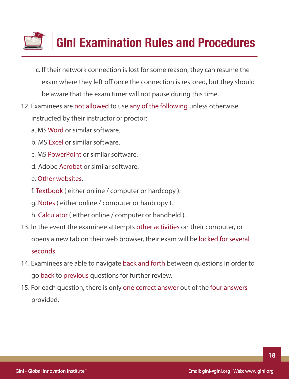# **GInI Examination Rules and Procedures**

- c. If their network connection is lost for some reason, they can resume the exam where they left off once the connection is restored, but they should be aware that the exam timer will not pause during this time.
- 12. Examinees are not allowed to use any of the following unless otherwise instructed by their instructor or proctor:
	- a. MS Word or similar software.
	- b. MS Excel or similar software.
	- c. MS PowerPoint or similar software.
	- d. Adobe Acrobat or similar software.
	- e. Other websites.
	- f. Textbook ( either online / computer or hardcopy ).
	- g. Notes ( either online / computer or hardcopy ).
	- h. Calculator ( either online / computer or handheld ).
- 13. In the event the examinee attempts other activities on their computer, or opens a new tab on their web browser, their exam will be locked for several seconds.
- 14. Examinees are able to navigate back and forth between questions in order to go back to previous questions for further review.
- 15. For each question, there is only one correct answer out of the four answers provided.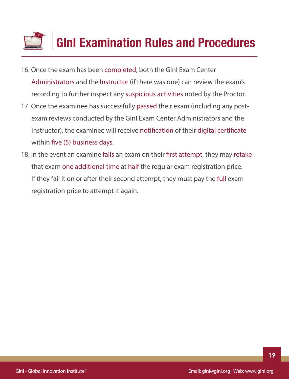

- 16. Once the exam has been completed, both the GInI Exam Center Administrators and the Instructor (if there was one) can review the exam's recording to further inspect any suspicious activities noted by the Proctor.
- 17. Once the examinee has successfully passed their exam (including any post exam reviews conducted by the GInI Exam Center Administrators and the Instructor), the examinee will receive notification of their digital certificate within five (5) business days.
- 18. In the event an examine fails an exam on their first attempt, they may retake that exam one additional time at half the regular exam registration price. If they fail it on or after their second attempt, they must pay the full exam registration price to attempt it again.

**19**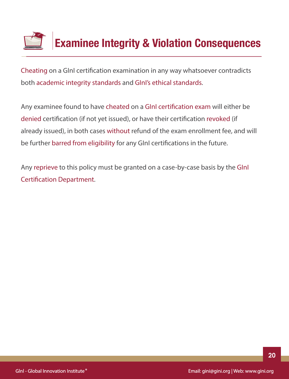

Cheating on a GInI certification examination in any way whatsoever contradicts both academic integrity standards and GInI's ethical standards.

Any examinee found to have cheated on a GInI certification exam will either be denied certification (if not yet issued), or have their certification revoked (if already issued), in both cases without refund of the exam enrollment fee, and will be further barred from eligibility for any GInI certifications in the future.

Any reprieve to this policy must be granted on a case-by-case basis by the GInI Certification Department.